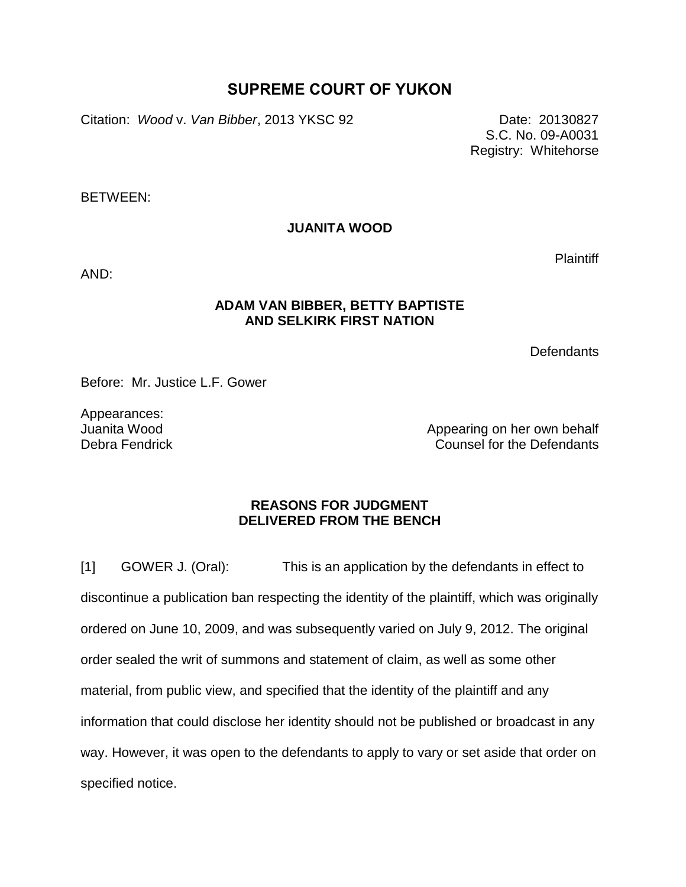## **SUPREME COURT OF YUKON**

Citation: *Wood v. Van Bibber*, 2013 YKSC 92 Date: 20130827

S.C. No. 09-A0031 Registry: Whitehorse

BETWEEN:

**JUANITA WOOD**

AND:

## **ADAM VAN BIBBER, BETTY BAPTISTE AND SELKIRK FIRST NATION**

**Defendants** 

Before: Mr. Justice L.F. Gower

Appearances: Juanita Wood Debra Fendrick

Appearing on her own behalf Counsel for the Defendants

## **REASONS FOR JUDGMENT DELIVERED FROM THE BENCH**

[1] GOWER J. (Oral): This is an application by the defendants in effect to discontinue a publication ban respecting the identity of the plaintiff, which was originally ordered on June 10, 2009, and was subsequently varied on July 9, 2012. The original order sealed the writ of summons and statement of claim, as well as some other material, from public view, and specified that the identity of the plaintiff and any information that could disclose her identity should not be published or broadcast in any way. However, it was open to the defendants to apply to vary or set aside that order on specified notice.

**Plaintiff**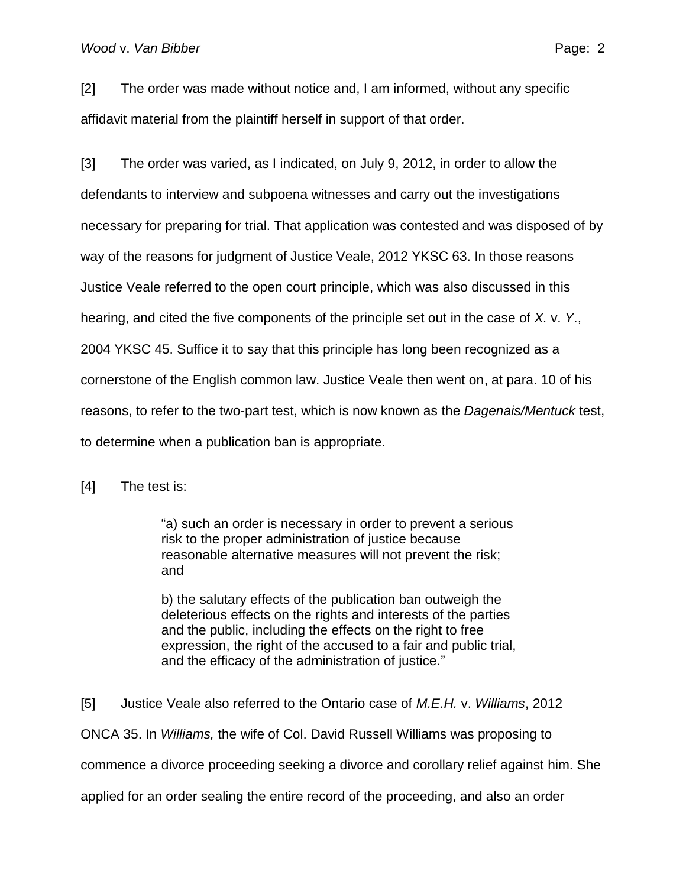[2] The order was made without notice and, I am informed, without any specific affidavit material from the plaintiff herself in support of that order.

[3] The order was varied, as I indicated, on July 9, 2012, in order to allow the defendants to interview and subpoena witnesses and carry out the investigations necessary for preparing for trial. That application was contested and was disposed of by way of the reasons for judgment of Justice Veale, 2012 YKSC 63. In those reasons Justice Veale referred to the open court principle, which was also discussed in this hearing, and cited the five components of the principle set out in the case of *X.* v. *Y*., 2004 YKSC 45. Suffice it to say that this principle has long been recognized as a cornerstone of the English common law. Justice Veale then went on, at para. 10 of his reasons, to refer to the two-part test, which is now known as the *Dagenais/Mentuck* test, to determine when a publication ban is appropriate.

[4] The test is:

"a) such an order is necessary in order to prevent a serious risk to the proper administration of justice because reasonable alternative measures will not prevent the risk; and

b) the salutary effects of the publication ban outweigh the deleterious effects on the rights and interests of the parties and the public, including the effects on the right to free expression, the right of the accused to a fair and public trial, and the efficacy of the administration of justice."

[5] Justice Veale also referred to the Ontario case of *M.E.H.* v. *Williams*, 2012 ONCA 35. In *Williams,* the wife of Col. David Russell Williams was proposing to commence a divorce proceeding seeking a divorce and corollary relief against him. She applied for an order sealing the entire record of the proceeding, and also an order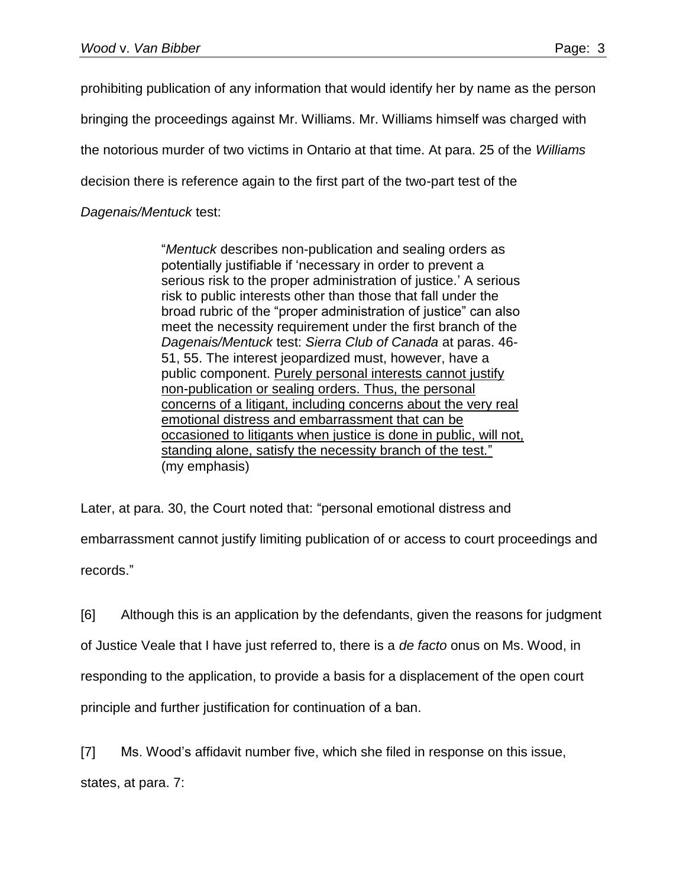prohibiting publication of any information that would identify her by name as the person bringing the proceedings against Mr. Williams. Mr. Williams himself was charged with the notorious murder of two victims in Ontario at that time. At para. 25 of the *Williams* decision there is reference again to the first part of the two-part test of the *Dagenais/Mentuck* test:

> "*Mentuck* describes non-publication and sealing orders as potentially justifiable if 'necessary in order to prevent a serious risk to the proper administration of justice.' A serious risk to public interests other than those that fall under the broad rubric of the "proper administration of justice" can also meet the necessity requirement under the first branch of the *Dagenais/Mentuck* test: *Sierra Club of Canada* at paras. 46- 51, 55. The interest jeopardized must, however, have a public component. Purely personal interests cannot justify non-publication or sealing orders. Thus, the personal concerns of a litigant, including concerns about the very real emotional distress and embarrassment that can be occasioned to litigants when justice is done in public, will not, standing alone, satisfy the necessity branch of the test." (my emphasis)

Later, at para. 30, the Court noted that: "personal emotional distress and embarrassment cannot justify limiting publication of or access to court proceedings and records."

[6] Although this is an application by the defendants, given the reasons for judgment of Justice Veale that I have just referred to, there is a *de facto* onus on Ms. Wood, in responding to the application, to provide a basis for a displacement of the open court principle and further justification for continuation of a ban.

[7] Ms. Wood's affidavit number five, which she filed in response on this issue, states, at para. 7: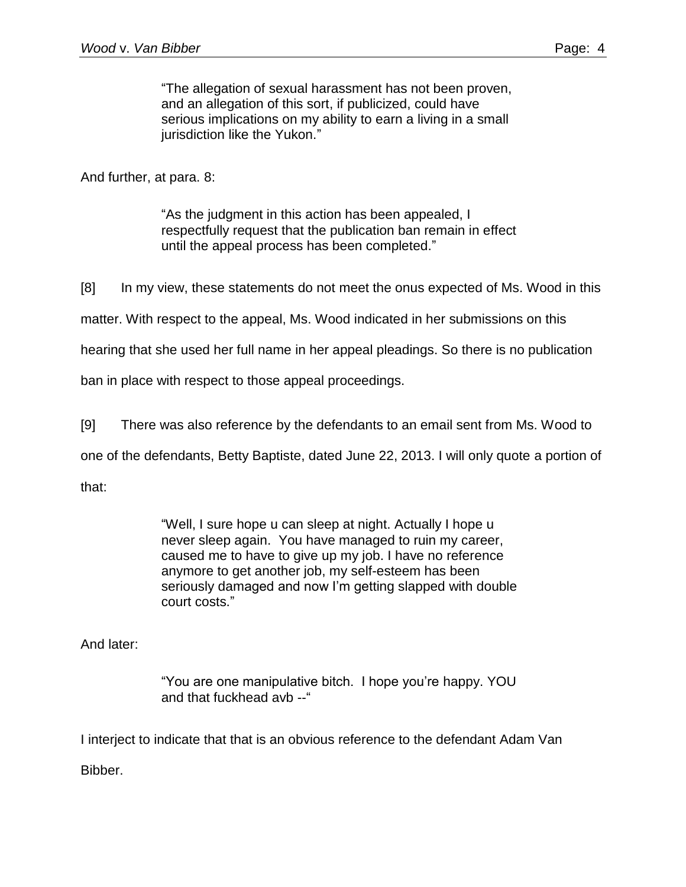"The allegation of sexual harassment has not been proven, and an allegation of this sort, if publicized, could have serious implications on my ability to earn a living in a small jurisdiction like the Yukon."

And further, at para. 8:

"As the judgment in this action has been appealed, I respectfully request that the publication ban remain in effect until the appeal process has been completed."

[8] In my view, these statements do not meet the onus expected of Ms. Wood in this

matter. With respect to the appeal, Ms. Wood indicated in her submissions on this

hearing that she used her full name in her appeal pleadings. So there is no publication

ban in place with respect to those appeal proceedings.

[9] There was also reference by the defendants to an email sent from Ms. Wood to

one of the defendants, Betty Baptiste, dated June 22, 2013. I will only quote a portion of

that:

"Well, I sure hope u can sleep at night. Actually I hope u never sleep again. You have managed to ruin my career, caused me to have to give up my job. I have no reference anymore to get another job, my self-esteem has been seriously damaged and now I'm getting slapped with double court costs."

And later:

"You are one manipulative bitch. I hope you're happy. YOU and that fuckhead avb --"

I interject to indicate that that is an obvious reference to the defendant Adam Van

Bibber.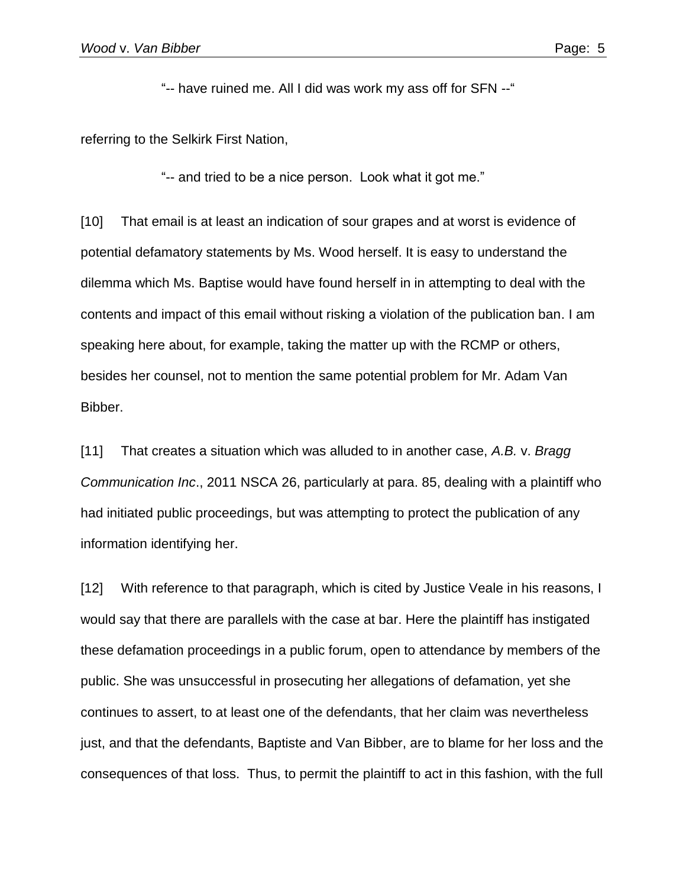"-- have ruined me. All I did was work my ass off for SFN --"

referring to the Selkirk First Nation,

"-- and tried to be a nice person. Look what it got me."

[10] That email is at least an indication of sour grapes and at worst is evidence of potential defamatory statements by Ms. Wood herself. It is easy to understand the dilemma which Ms. Baptise would have found herself in in attempting to deal with the contents and impact of this email without risking a violation of the publication ban. I am speaking here about, for example, taking the matter up with the RCMP or others, besides her counsel, not to mention the same potential problem for Mr. Adam Van Bibber.

[11] That creates a situation which was alluded to in another case, *A.B.* v. *Bragg Communication Inc*., 2011 NSCA 26, particularly at para. 85, dealing with a plaintiff who had initiated public proceedings, but was attempting to protect the publication of any information identifying her.

[12] With reference to that paragraph, which is cited by Justice Veale in his reasons, I would say that there are parallels with the case at bar. Here the plaintiff has instigated these defamation proceedings in a public forum, open to attendance by members of the public. She was unsuccessful in prosecuting her allegations of defamation, yet she continues to assert, to at least one of the defendants, that her claim was nevertheless just, and that the defendants, Baptiste and Van Bibber, are to blame for her loss and the consequences of that loss. Thus, to permit the plaintiff to act in this fashion, with the full